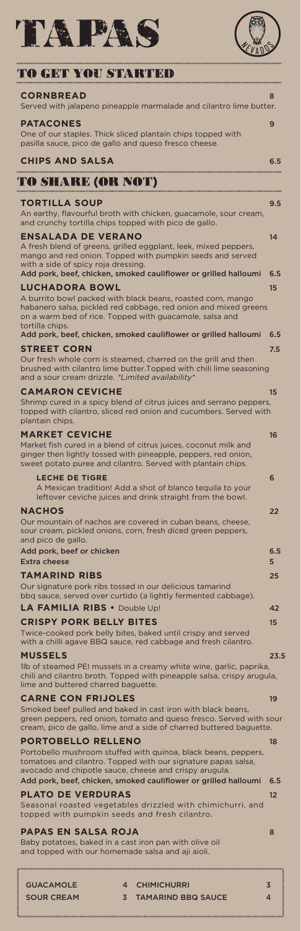



# ro get you started

| <b>CORNBREAD</b><br>Served with jalapeno pineapple marmalade and cilantro lime butter.                                                                                                                                                                              | 8         |
|---------------------------------------------------------------------------------------------------------------------------------------------------------------------------------------------------------------------------------------------------------------------|-----------|
| <b>PATACONES</b><br>One of our staples. Thick sliced plantain chips topped with<br>pasilla sauce, pico de gallo and queso fresco cheese.                                                                                                                            | 9         |
| <b>CHIPS AND SALSA</b>                                                                                                                                                                                                                                              | 6.5       |
| EARE (OR NOT)                                                                                                                                                                                                                                                       |           |
| <b>TORTILLA SOUP</b><br>An earthy, flavourful broth with chicken, guacamole, sour cream,<br>and crunchy tortilla chips topped with pico de gallo.                                                                                                                   | 9.5       |
| <b>ENSALADA DE VERANO</b><br>A fresh blend of greens, grilled eggplant, leek, mixed peppers,<br>mango and red onion. Topped with pumpkin seeds and served<br>with a side of spicy roja dressing.<br>Add pork, beef, chicken, smoked cauliflower or grilled halloumi | 14<br>6.5 |
| <b>LUCHADORA BOWL</b><br>A burrito bowl packed with black beans, roasted corn, mango<br>habanero salsa, pickled red cabbage, red onion and mixed greens<br>on a warm bed of rice. Topped with guacamole, salsa and<br>tortilla chips.                               | 15        |
| Add pork, beef, chicken, smoked cauliflower or grilled halloumi                                                                                                                                                                                                     | 6.5       |
| <b>STREET CORN</b><br>Our fresh whole corn is steamed, charred on the grill and then<br>brushed with cilantro lime butter. Topped with chili lime seasoning<br>and a sour cream drizzle. *Limited availability*                                                     | 7.5       |
| <b>CAMARON CEVICHE</b><br>Shrimp cured in a spicy blend of citrus juices and serrano peppers,<br>topped with cilantro, sliced red onion and cucumbers. Served with<br>plantain chips.                                                                               | 15        |
| <b>MARKET CEVICHE</b><br>Market fish cured in a blend of citrus juices, coconut milk and<br>ginger then lightly tossed with pineapple, peppers, red onion,<br>sweet potato puree and cilantro. Served with plantain chips.                                          | 16        |
| <b>LECHE DE TIGRE</b><br>A Mexican tradition! Add a shot of blanco tequila to your<br>leftover ceviche juices and drink straight from the bowl.                                                                                                                     | 6         |
| <b>NACHOS</b><br>Our mountain of nachos are covered in cuban beans, cheese,<br>sour cream, pickled onions, corn, fresh diced green peppers,<br>and pico de gallo.                                                                                                   | 22        |
| Add pork, beef or chicken<br>Extra cheese                                                                                                                                                                                                                           | 6.5<br>5  |
| <b>TAMARIND RIBS</b><br>Our signature pork ribs tossed in our delicious tamarind<br>bbq sauce, served over curtido (a lightly fermented cabbage).                                                                                                                   | 25        |
| <b>LA FAMILIA RIBS •</b> Double Up!                                                                                                                                                                                                                                 | 42        |
| <b>CRISPY PORK BELLY BITES</b>                                                                                                                                                                                                                                      | 15        |

Twice-cooked pork belly bites, baked until crispy and served with a chilli agave BBQ sauce, red cabbage and fresh cilantro.

#### **MUSSELS** 23.5

1lb of steamed PEI mussels in a creamy white wine, garlic, paprika, chili and cilantro broth. Topped with pineapple salsa, crispy arugula,

lime and buttered charred baguette.

# **CARNE CON FRIJOLES** 19

Smoked beef pulled and baked in cast iron with black beans, green peppers, red onion, tomato and queso fresco. Served with sour cream, pico de gallo, lime and a side of charred buttered baguette.

# **PORTOBELLO RELLENO** 18

Portobello mushroom stuffed with quinoa, black beans, peppers, tomatoes and cilantro. Topped with our signature papas salsa, avocado and chipotle sauce, cheese and crispy arugula. Add pork, beef, chicken, smoked cauliflower or grilled halloumi 6.5

# **PLATO DE VERDURAS** 12

Seasonal roasted vegetables drizzled with chimichurri, and topped with pumpkin seeds and fresh cilantro.

# **PAPAS EN SALSA ROJA** 8

Baby potatoes, baked in a cast iron pan with olive oil and topped with our homemade salsa and aji aioli.